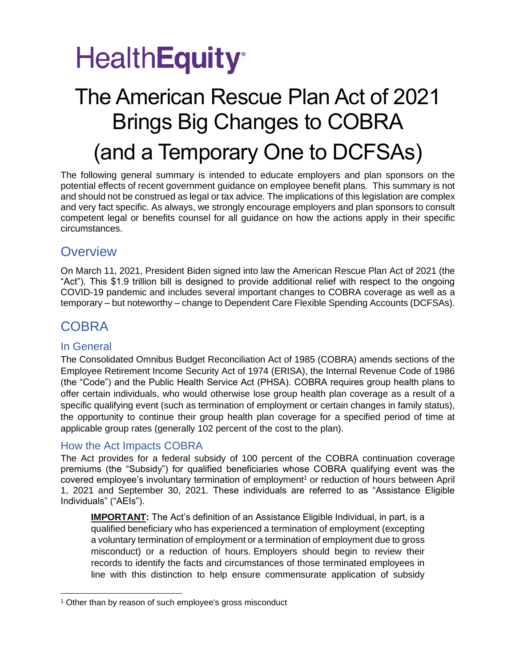## **HealthEquity**<sup>®</sup>

### The American Rescue Plan Act of 2021 Brings Big Changes to COBRA (and a Temporary One to DCFSAs)

The following general summary is intended to educate employers and plan sponsors on the potential effects of recent government guidance on employee benefit plans. This summary is not and should not be construed as legal or tax advice. The implications of this legislation are complex and very fact specific. As always, we strongly encourage employers and plan sponsors to consult competent legal or benefits counsel for all guidance on how the actions apply in their specific circumstances.

### **Overview**

On March 11, 2021, President Biden signed into law the American Rescue Plan Act of 2021 (the "Act"). This \$1.9 trillion bill is designed to provide additional relief with respect to the ongoing COVID-19 pandemic and includes several important changes to COBRA coverage as well as a temporary – but noteworthy – change to Dependent Care Flexible Spending Accounts (DCFSAs).

### COBRA

#### In General

The Consolidated Omnibus Budget Reconciliation Act of 1985 (COBRA) amends sections of the Employee Retirement Income Security Act of 1974 (ERISA), the Internal Revenue Code of 1986 (the "Code") and the Public Health Service Act (PHSA). COBRA requires group health plans to offer certain individuals, who would otherwise lose group health plan coverage as a result of a specific qualifying event (such as termination of employment or certain changes in family status), the opportunity to continue their group health plan coverage for a specified period of time at applicable group rates (generally 102 percent of the cost to the plan).

#### How the Act Impacts COBRA

The Act provides for a federal subsidy of 100 percent of the COBRA continuation coverage premiums (the "Subsidy") for qualified beneficiaries whose COBRA qualifying event was the covered employee's involuntary termination of employment<sup>1</sup> or reduction of hours between April 1, 2021 and September 30, 2021. These individuals are referred to as "Assistance Eligible Individuals" ("AEIs").

**IMPORTANT:** The Act's definition of an Assistance Eligible Individual, in part, is a qualified beneficiary who has experienced a termination of employment (excepting a voluntary termination of employment or a termination of employment due to gross misconduct) or a reduction of hours. Employers should begin to review their records to identify the facts and circumstances of those terminated employees in line with this distinction to help ensure commensurate application of subsidy

<sup>1</sup> Other than by reason of such employee's gross misconduct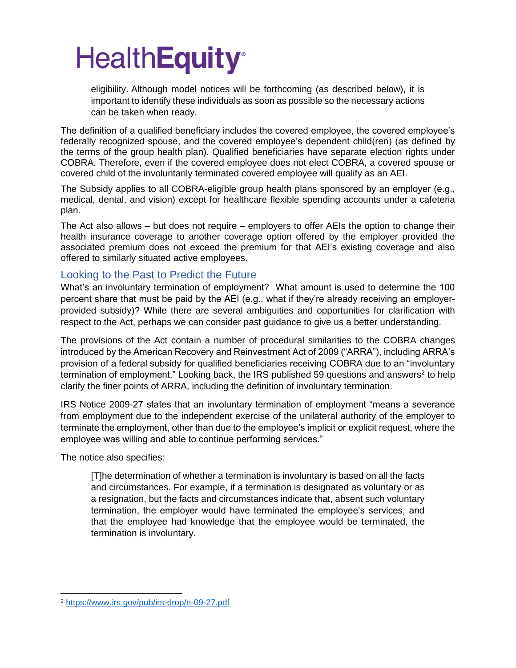eligibility. Although model notices will be forthcoming (as described below), it is important to identify these individuals as soon as possible so the necessary actions can be taken when ready.

The definition of a qualified beneficiary includes the covered employee, the covered employee's federally recognized spouse, and the covered employee's dependent child(ren) (as defined by the terms of the group health plan). Qualified beneficiaries have separate election rights under COBRA. Therefore, even if the covered employee does not elect COBRA, a covered spouse or covered child of the involuntarily terminated covered employee will qualify as an AEI.

The Subsidy applies to all COBRA-eligible group health plans sponsored by an employer (e.g., medical, dental, and vision) except for healthcare flexible spending accounts under a cafeteria plan.

The Act also allows – but does not require – employers to offer AEIs the option to change their health insurance coverage to another coverage option offered by the employer provided the associated premium does not exceed the premium for that AEI's existing coverage and also offered to similarly situated active employees.

#### Looking to the Past to Predict the Future

What's an involuntary termination of employment? What amount is used to determine the 100 percent share that must be paid by the AEI (e.g., what if they're already receiving an employerprovided subsidy)? While there are several ambiguities and opportunities for clarification with respect to the Act, perhaps we can consider past guidance to give us a better understanding.

The provisions of the Act contain a number of procedural similarities to the COBRA changes introduced by the American Recovery and Reinvestment Act of 2009 ("ARRA"), including ARRA's provision of a federal subsidy for qualified beneficiaries receiving COBRA due to an "involuntary termination of employment." Looking back, the IRS published 59 questions and answers<sup>2</sup> to help clarify the finer points of ARRA, including the definition of involuntary termination.

IRS Notice 2009-27 states that an involuntary termination of employment "means a severance from employment due to the independent exercise of the unilateral authority of the employer to terminate the employment, other than due to the employee's implicit or explicit request, where the employee was willing and able to continue performing services."

The notice also specifies:

[T]he determination of whether a termination is involuntary is based on all the facts and circumstances. For example, if a termination is designated as voluntary or as a resignation, but the facts and circumstances indicate that, absent such voluntary termination, the employer would have terminated the employee's services, and that the employee had knowledge that the employee would be terminated, the termination is involuntary.

<sup>2</sup> <https://www.irs.gov/pub/irs-drop/n-09-27.pdf>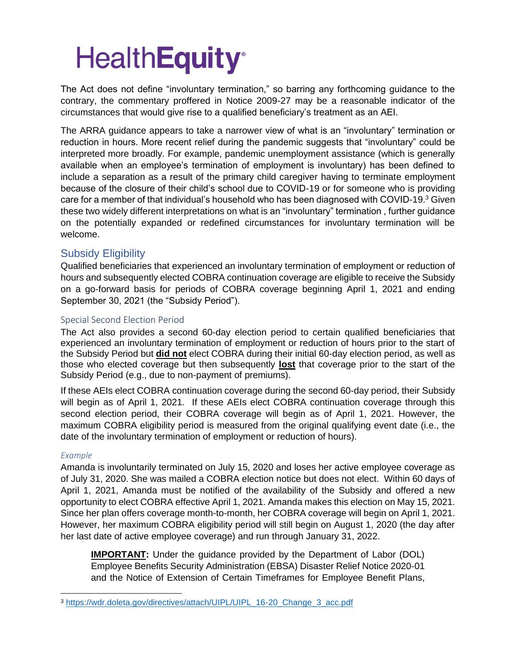The Act does not define "involuntary termination," so barring any forthcoming guidance to the contrary, the commentary proffered in Notice 2009-27 may be a reasonable indicator of the circumstances that would give rise to a qualified beneficiary's treatment as an AEI.

The ARRA guidance appears to take a narrower view of what is an "involuntary" termination or reduction in hours. More recent relief during the pandemic suggests that "involuntary" could be interpreted more broadly. For example, pandemic unemployment assistance (which is generally available when an employee's termination of employment is involuntary) has been defined to include a separation as a result of the primary child caregiver having to terminate employment because of the closure of their child's school due to COVID-19 or for someone who is providing care for a member of that individual's household who has been diagnosed with COVID-19.<sup>3</sup> Given these two widely different interpretations on what is an "involuntary" termination , further guidance on the potentially expanded or redefined circumstances for involuntary termination will be welcome.

#### Subsidy Eligibility

Qualified beneficiaries that experienced an involuntary termination of employment or reduction of hours and subsequently elected COBRA continuation coverage are eligible to receive the Subsidy on a go-forward basis for periods of COBRA coverage beginning April 1, 2021 and ending September 30, 2021 (the "Subsidy Period").

#### Special Second Election Period

The Act also provides a second 60-day election period to certain qualified beneficiaries that experienced an involuntary termination of employment or reduction of hours prior to the start of the Subsidy Period but **did not** elect COBRA during their initial 60-day election period, as well as those who elected coverage but then subsequently **lost** that coverage prior to the start of the Subsidy Period (e.g., due to non-payment of premiums).

If these AEIs elect COBRA continuation coverage during the second 60-day period, their Subsidy will begin as of April 1, 2021. If these AEIs elect COBRA continuation coverage through this second election period, their COBRA coverage will begin as of April 1, 2021. However, the maximum COBRA eligibility period is measured from the original qualifying event date (i.e., the date of the involuntary termination of employment or reduction of hours).

#### *Example*

Amanda is involuntarily terminated on July 15, 2020 and loses her active employee coverage as of July 31, 2020. She was mailed a COBRA election notice but does not elect. Within 60 days of April 1, 2021, Amanda must be notified of the availability of the Subsidy and offered a new opportunity to elect COBRA effective April 1, 2021. Amanda makes this election on May 15, 2021. Since her plan offers coverage month-to-month, her COBRA coverage will begin on April 1, 2021. However, her maximum COBRA eligibility period will still begin on August 1, 2020 (the day after her last date of active employee coverage) and run through January 31, 2022.

**IMPORTANT:** Under the guidance provided by the Department of Labor (DOL) Employee Benefits Security Administration (EBSA) Disaster Relief Notice 2020-01 and the Notice of Extension of Certain Timeframes for Employee Benefit Plans,

<sup>3</sup> [https://wdr.doleta.gov/directives/attach/UIPL/UIPL\\_16-20\\_Change\\_3\\_acc.pdf](https://wdr.doleta.gov/directives/attach/UIPL/UIPL_16-20_Change_3_acc.pdf)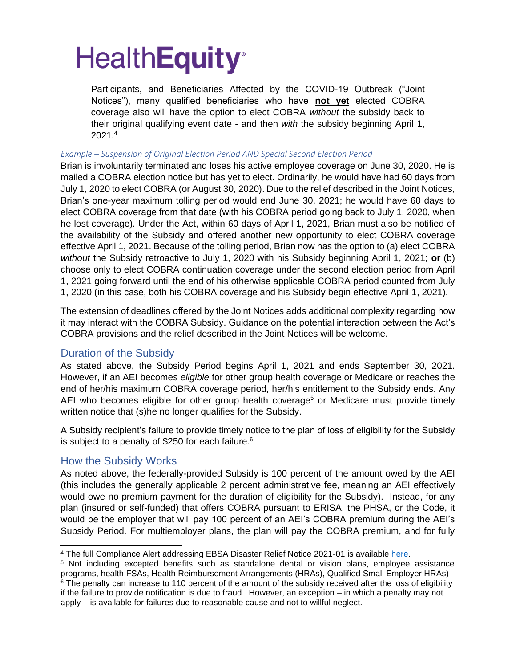Participants, and Beneficiaries Affected by the COVID-19 Outbreak ("Joint Notices"), many qualified beneficiaries who have **not yet** elected COBRA coverage also will have the option to elect COBRA *without* the subsidy back to their original qualifying event date - and then *with* the subsidy beginning April 1, 2021.<sup>4</sup>

#### *Example – Suspension of Original Election Period AND Special Second Election Period*

Brian is involuntarily terminated and loses his active employee coverage on June 30, 2020. He is mailed a COBRA election notice but has yet to elect. Ordinarily, he would have had 60 days from July 1, 2020 to elect COBRA (or August 30, 2020). Due to the relief described in the Joint Notices, Brian's one-year maximum tolling period would end June 30, 2021; he would have 60 days to elect COBRA coverage from that date (with his COBRA period going back to July 1, 2020, when he lost coverage). Under the Act, within 60 days of April 1, 2021, Brian must also be notified of the availability of the Subsidy and offered another new opportunity to elect COBRA coverage effective April 1, 2021. Because of the tolling period, Brian now has the option to (a) elect COBRA *without* the Subsidy retroactive to July 1, 2020 with his Subsidy beginning April 1, 2021; **or** (b) choose only to elect COBRA continuation coverage under the second election period from April 1, 2021 going forward until the end of his otherwise applicable COBRA period counted from July 1, 2020 (in this case, both his COBRA coverage and his Subsidy begin effective April 1, 2021).

The extension of deadlines offered by the Joint Notices adds additional complexity regarding how it may interact with the COBRA Subsidy. Guidance on the potential interaction between the Act's COBRA provisions and the relief described in the Joint Notices will be welcome.

#### Duration of the Subsidy

As stated above, the Subsidy Period begins April 1, 2021 and ends September 30, 2021. However, if an AEI becomes *eligible* for other group health coverage or Medicare or reaches the end of her/his maximum COBRA coverage period, her/his entitlement to the Subsidy ends. Any AEI who becomes eligible for other group health coverage<sup>5</sup> or Medicare must provide timely written notice that (s)he no longer qualifies for the Subsidy.

A Subsidy recipient's failure to provide timely notice to the plan of loss of eligibility for the Subsidy is subject to a penalty of \$250 for each failure.<sup>6</sup>

#### How the Subsidy Works

As noted above, the federally-provided Subsidy is 100 percent of the amount owed by the AEI (this includes the generally applicable 2 percent administrative fee, meaning an AEI effectively would owe no premium payment for the duration of eligibility for the Subsidy). Instead, for any plan (insured or self-funded) that offers COBRA pursuant to ERISA, the PHSA, or the Code, it would be the employer that will pay 100 percent of an AEI's COBRA premium during the AEI's Subsidy Period. For multiemployer plans, the plan will pay the COBRA premium, and for fully

<sup>4</sup> The full Compliance Alert addressing EBSA Disaster Relief Notice 2021-01 is available [here.](https://nam11.safelinks.protection.outlook.com/?url=https%3A%2F%2Fhealthequity.com%2Fdoclib%2Fcompliance%2FDOL%2520Issues%2520Guidance%2520on%2520Maximum%2520COVID%2520Periods.pdf&data=04%7C01%7Cjasonf%40healthequity.com%7Cf4f9cf0ed10649c1250c08d8de6c8e54%7Cc5d0ad888f9343b89b7cc8a3bb8e410a%7C0%7C0%7C637503906721605843%7CUnknown%7CTWFpbGZsb3d8eyJWIjoiMC4wLjAwMDAiLCJQIjoiV2luMzIiLCJBTiI6Ik1haWwiLCJXVCI6Mn0%3D%7C1000&sdata=FcwbtO3dnnH1DmV6LaEp7YUg1vgfWi7Q7QCQ3GpPYMw%3D&reserved=0)

<sup>5</sup> Not including excepted benefits such as standalone dental or vision plans, employee assistance programs, health FSAs, Health Reimbursement Arrangements (HRAs), Qualified Small Employer HRAs) <sup>6</sup> The penalty can increase to 110 percent of the amount of the subsidy received after the loss of eligibility if the failure to provide notification is due to fraud. However, an exception – in which a penalty may not apply – is available for failures due to reasonable cause and not to willful neglect.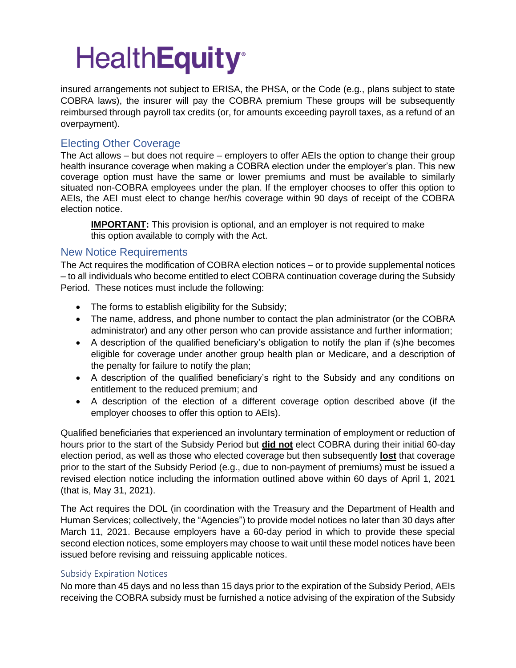insured arrangements not subject to ERISA, the PHSA, or the Code (e.g., plans subject to state COBRA laws), the insurer will pay the COBRA premium These groups will be subsequently reimbursed through payroll tax credits (or, for amounts exceeding payroll taxes, as a refund of an overpayment).

#### Electing Other Coverage

The Act allows – but does not require – employers to offer AEIs the option to change their group health insurance coverage when making a COBRA election under the employer's plan. This new coverage option must have the same or lower premiums and must be available to similarly situated non-COBRA employees under the plan. If the employer chooses to offer this option to AEIs, the AEI must elect to change her/his coverage within 90 days of receipt of the COBRA election notice.

**IMPORTANT:** This provision is optional, and an employer is not required to make this option available to comply with the Act.

#### New Notice Requirements

The Act requires the modification of COBRA election notices – or to provide supplemental notices – to all individuals who become entitled to elect COBRA continuation coverage during the Subsidy Period. These notices must include the following:

- The forms to establish eligibility for the Subsidy;
- The name, address, and phone number to contact the plan administrator (or the COBRA administrator) and any other person who can provide assistance and further information;
- A description of the qualified beneficiary's obligation to notify the plan if (s)he becomes eligible for coverage under another group health plan or Medicare, and a description of the penalty for failure to notify the plan;
- A description of the qualified beneficiary's right to the Subsidy and any conditions on entitlement to the reduced premium; and
- A description of the election of a different coverage option described above (if the employer chooses to offer this option to AEIs).

Qualified beneficiaries that experienced an involuntary termination of employment or reduction of hours prior to the start of the Subsidy Period but **did not** elect COBRA during their initial 60-day election period, as well as those who elected coverage but then subsequently **lost** that coverage prior to the start of the Subsidy Period (e.g., due to non-payment of premiums) must be issued a revised election notice including the information outlined above within 60 days of April 1, 2021 (that is, May 31, 2021).

The Act requires the DOL (in coordination with the Treasury and the Department of Health and Human Services; collectively, the "Agencies") to provide model notices no later than 30 days after March 11, 2021. Because employers have a 60-day period in which to provide these special second election notices, some employers may choose to wait until these model notices have been issued before revising and reissuing applicable notices.

#### Subsidy Expiration Notices

No more than 45 days and no less than 15 days prior to the expiration of the Subsidy Period, AEIs receiving the COBRA subsidy must be furnished a notice advising of the expiration of the Subsidy